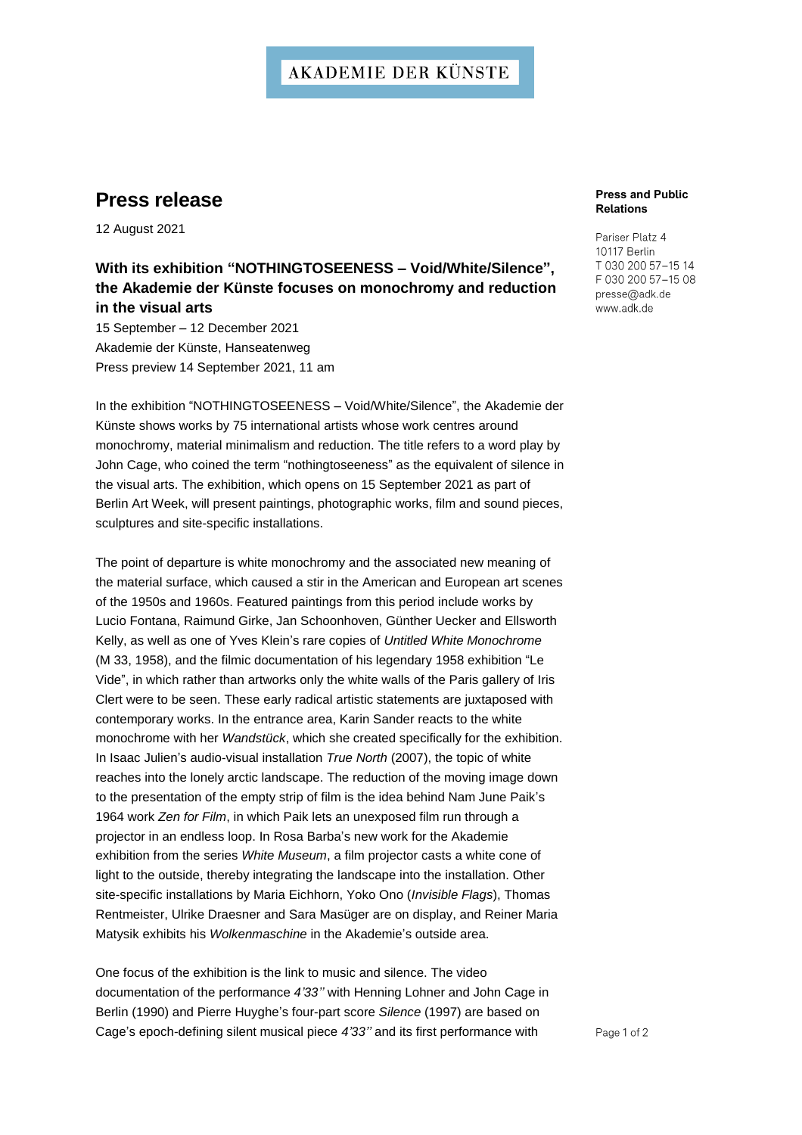# **AKADEMIE DER KÜNSTE**

## **Press release**

12 August 2021

## **With its exhibition "NOTHINGTOSEENESS – Void/White/Silence", the Akademie der Künste focuses on monochromy and reduction in the visual arts**

15 September – 12 December 2021 Akademie der Künste, Hanseatenweg Press preview 14 September 2021, 11 am

In the exhibition "NOTHINGTOSEENESS – Void/White/Silence", the Akademie der Künste shows works by 75 international artists whose work centres around monochromy, material minimalism and reduction. The title refers to a word play by John Cage, who coined the term "nothingtoseeness" as the equivalent of silence in the visual arts. The exhibition, which opens on 15 September 2021 as part of Berlin Art Week, will present paintings, photographic works, film and sound pieces, sculptures and site-specific installations.

The point of departure is white monochromy and the associated new meaning of the material surface, which caused a stir in the American and European art scenes of the 1950s and 1960s. Featured paintings from this period include works by Lucio Fontana, Raimund Girke, Jan Schoonhoven, Günther Uecker and Ellsworth Kelly, as well as one of Yves Klein's rare copies of *Untitled White Monochrome*  (M 33, 1958), and the filmic documentation of his legendary 1958 exhibition "Le Vide", in which rather than artworks only the white walls of the Paris gallery of Iris Clert were to be seen. These early radical artistic statements are juxtaposed with contemporary works. In the entrance area, Karin Sander reacts to the white monochrome with her *Wandstück*, which she created specifically for the exhibition. In Isaac Julien's audio-visual installation *True North* (2007), the topic of white reaches into the lonely arctic landscape. The reduction of the moving image down to the presentation of the empty strip of film is the idea behind Nam June Paik's 1964 work *Zen for Film*, in which Paik lets an unexposed film run through a projector in an endless loop. In Rosa Barba's new work for the Akademie exhibition from the series *White Museum*, a film projector casts a white cone of light to the outside, thereby integrating the landscape into the installation. Other site-specific installations by Maria Eichhorn, Yoko Ono (*Invisible Flags*), Thomas Rentmeister, Ulrike Draesner and Sara Masüger are on display, and Reiner Maria Matysik exhibits his *Wolkenmaschine* in the Akademie's outside area.

One focus of the exhibition is the link to music and silence. The video documentation of the performance *4'33''* with Henning Lohner and John Cage in Berlin (1990) and Pierre Huyghe's four-part score *Silence* (1997) are based on Cage's epoch-defining silent musical piece *4'33''* and its first performance with

#### **Press and Public Relations**

Pariser Platz 4 10117 Berlin T 030 200 57-15 14 F 030 200 57-15 08 presse@adk.de www.adk.de